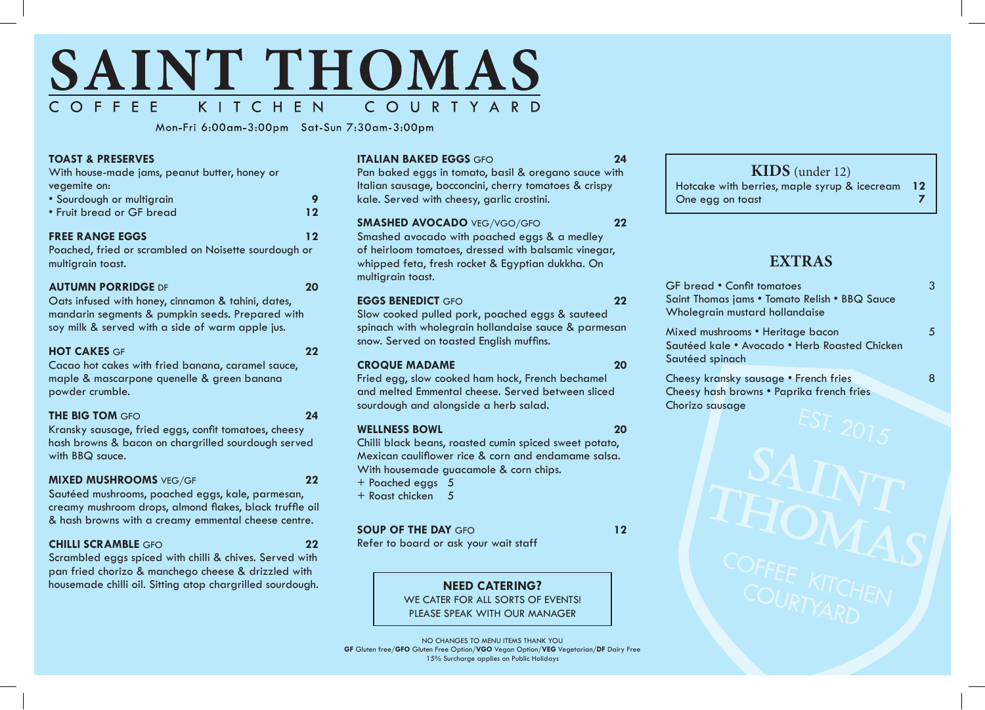

Mon-Fri 6:00am-3:00pm Sat-Sun 7:30am-3:00pm

#### **TOAST & PRESERVES**

With house-made jams, peanut butter, honey or vegemite on:

| • Sourdough or multigrain |    |
|---------------------------|----|
| • Fruit bread or GF bread | 12 |

#### **FREE RANGE EGGS 12**

Poached, fried or scrambled on Noisette sourdough or multigrain toast.

|       | <b>AUTUMN PORRIDGE DF</b> |  |  |
|-------|---------------------------|--|--|
| - - - |                           |  |  |

Oats infused with honey, cinnamon & tahini, dates, mandarin segments & pumpkin seeds. Prepared with soy milk & served with a side of warm apple jus.

#### **HOT CAKES** GF **22**

Cacao hot cakes with fried banana, caramel sauce, maple & mascarpone quenelle & green banana powder crumble.

#### **THE BIG TOM** GFO **24**

Kransky sausage, fried eggs, confit tomatoes, cheesy hash browns & bacon on chargrilled sourdough served with BBQ sauce.

#### **MIXED MUSHROOMS** VEG/GF **22**

Sautéed mushrooms, poached eggs, kale, parmesan, creamy mushroom drops, almond flakes, black truffle oil & hash browns with a creamy emmental cheese centre.

#### **CHILLI SCRAMBLE** GFO **22**

Scrambled eggs spiced with chilli & chives. Served with pan fried chorizo & manchego cheese & drizzled with housemade chilli oil. Sitting atop chargrilled sourdough.

#### **ITALIAN BAKED EGGS** GFO **24**

Pan baked eggs in tomato, basil & oregano sauce with Italian sausage, bocconcini, cherry tomatoes & crispy kale. Served with cheesy, garlic crostini.

#### **SMASHED AVOCADO** VEG/VGO/GFO **22**

Smashed avocado with poached eggs & a medley of heirloom tomatoes, dressed with balsamic vinegar, whipped feta, fresh rocket & Egyptian dukkha. On multigrain toast.

#### **EGGS BENEDICT** GFO **22**

Slow cooked pulled pork, poached eggs & sauteed spinach with wholegrain hollandaise sauce & parmesan snow. Served on toasted English muffins.

#### **CROQUE MADAME 20**

Fried egg, slow cooked ham hock, French bechamel and melted Emmental cheese. Served between sliced sourdough and alongside a herb salad.

#### **WELLNESS BOWL 20**

Chilli black beans, roasted cumin spiced sweet potato, Mexican cauliflower rice & corn and endamame salsa. With housemade guacamole & corn chips.

- + Poached eggs 5
- + Roast chicken 5

#### **SOUP OF THE DAY GFO 12**

Refer to board or ask your wait staff



PLEASE SPEAK WITH OUR MANAGER

NO CHANGES TO MENU ITEMS THANK YOU **GF** Gluten free/**GFO** Gluten Free Option/**VGO** Vegan Option/**VEG** Vegetarian/**DF** Dairy Free 15% Surcharge applies on Public Holidays

# **KIDS** (under 12) Hotcake with berries, maple syrup & icecream **12** One egg on toast **7**

# **EXTRAS**

| 3 |
|---|
|   |
|   |
| 5 |
|   |
|   |
| 8 |
|   |
|   |
|   |
|   |
|   |